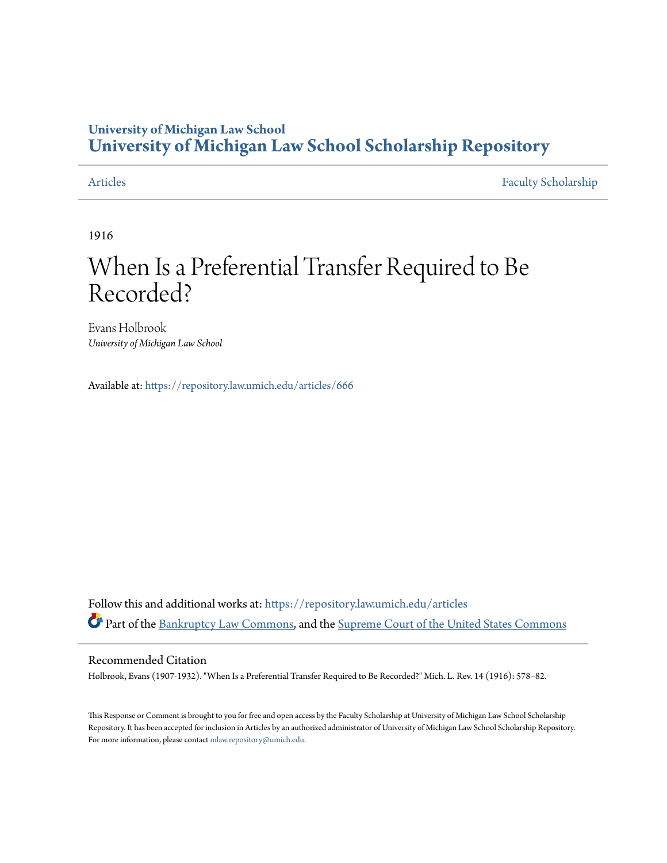# **University of Michigan Law School [University of Michigan Law School Scholarship Repository](https://repository.law.umich.edu?utm_source=repository.law.umich.edu%2Farticles%2F666&utm_medium=PDF&utm_campaign=PDFCoverPages)**

[Articles](https://repository.law.umich.edu/articles?utm_source=repository.law.umich.edu%2Farticles%2F666&utm_medium=PDF&utm_campaign=PDFCoverPages) [Faculty Scholarship](https://repository.law.umich.edu/faculty_scholarship?utm_source=repository.law.umich.edu%2Farticles%2F666&utm_medium=PDF&utm_campaign=PDFCoverPages)

1916

# When Is a Preferential Transfer Required to Be Recorded?

Evans Holbrook *University of Michigan Law School*

Available at: <https://repository.law.umich.edu/articles/666>

Follow this and additional works at: [https://repository.law.umich.edu/articles](https://repository.law.umich.edu/articles?utm_source=repository.law.umich.edu%2Farticles%2F666&utm_medium=PDF&utm_campaign=PDFCoverPages) Part of the [Bankruptcy Law Commons,](http://network.bepress.com/hgg/discipline/583?utm_source=repository.law.umich.edu%2Farticles%2F666&utm_medium=PDF&utm_campaign=PDFCoverPages) and the [Supreme Court of the United States Commons](http://network.bepress.com/hgg/discipline/1350?utm_source=repository.law.umich.edu%2Farticles%2F666&utm_medium=PDF&utm_campaign=PDFCoverPages)

## Recommended Citation

Holbrook, Evans (1907-1932). "When Is a Preferential Transfer Required to Be Recorded?" Mich. L. Rev. 14 (1916): 578–82.

This Response or Comment is brought to you for free and open access by the Faculty Scholarship at University of Michigan Law School Scholarship Repository. It has been accepted for inclusion in Articles by an authorized administrator of University of Michigan Law School Scholarship Repository. For more information, please contact [mlaw.repository@umich.edu](mailto:mlaw.repository@umich.edu).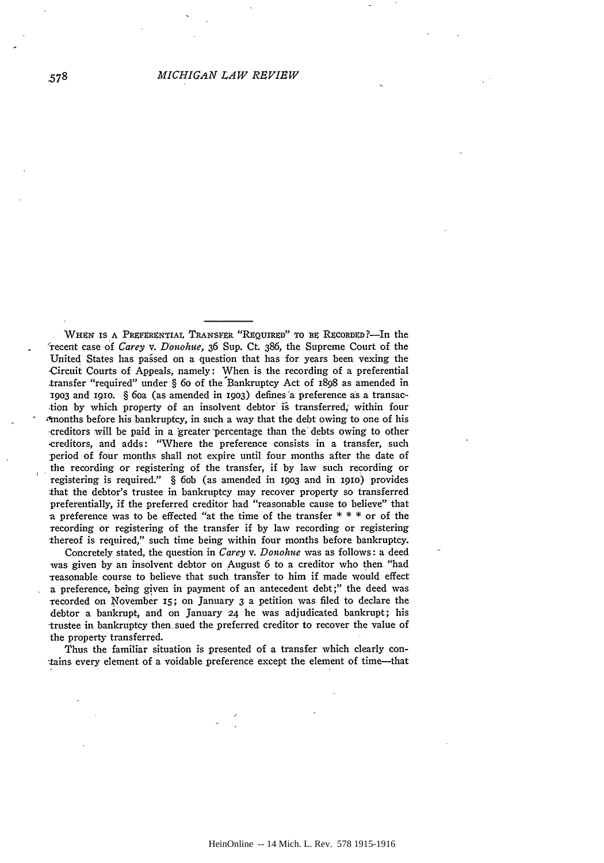WHEN **IS A** PREFERENTIAL TRA.NSIFR **"REQUiRED"** To **BE RECORDED?-In** the recent case of *Carey v. Donohzle,* **36** Sup. Ct. 386, the Supreme Court of the United States has passed on a question that has for years been vexing the Circuit Courts of Appeals, namely: When is the recording of a preferential transfer "required" under § 6o of the'Bankruptcy Act of 1898 as amended in **1903** and **i91o.** § 6oa (as amended in **1903)** defines-a preference as a transaction by which property of an insolvent debtor is transferred; within four months before his bankruptcy, in such a way that the debt owing to one of his -creditors will be paid in a greater percentage than the debts owing to other -creditors, and adds: "Where the preference consists in a transfer, such period of four months shall not expire until four months after the date of the recording or registering of the transfer, if by law such recording or registering is required." § 6ob (as amended in **19o3** and in **i91o)** provides that the debtor's trustee in bankruptcy may recover property so transferred preferentially, if the preferred creditor had "reasonable cause to believe" that a preference was to be effected "at the time of the transfer \* \* \* or of the recording or registering of the transfer if by law recording or registering thereof is required," such time being within four months before bankruptcy.

Concretely stated, the question in *Carey v. Donohue* was as follows: a deed was given by an insolvent debtor on August 6 to a creditor who then "had reasonable course to believe that such transfer to him if made would effect a preference, being given in payment of an antecedent debt;" the deed was -recorded on November **15;** on January **3** a petition was filed to declare the debtor a bankrupt, and on January **24** he was adjudicated bankrupt; his -trustee in bankruptcy then-sued the preferred creditor to recover the value of the property transferred.

Thus the familiar situation is presented of a transfer which clearly con- -tains every element of a voidable preference except the element of time-that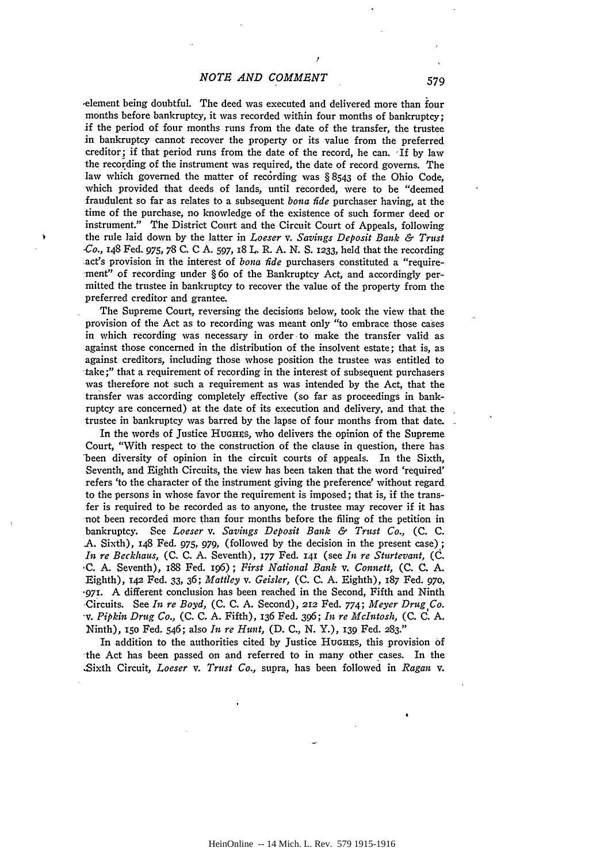#### *NOTE AND COMMENT*

'element being doubtful. The deed was executed and delivered more than four months before bankruptcy, it was recorded within four months of bankruptcy; if the period of four months runs from the date of the transfer, the trustee in bankruptcy cannot recover the property or its value from the preferred creditor; if that period runs from the date of the record, he can. -If by law the recording of the instrument was required, the date of record governs. The law which governed the matter of recording was § 8543 of the Ohio Code, which provided that deeds of lands, until recorded, were to be "deemed fraudulent so far as relates to a subsequent *bona fide* purchaser having, at the time of the purchase, no knowledge of the existence of such former deed or instrument." The District Court and the Circuit Court of Appeals, following the rule laid down by the latter in *Loeser v. Savings Deposit Bank & Trust -Co.,* 148 Fed. 975, 78 **C.** C **A. 597,** 18 L. R. **A. N.** *S.* **1233,** held that the recording act's provision in the interest of *bona fde* purchasers constituted a "requirement" of recording under § 6o of the Bankruptcy Act, and accordingly permitted the trustee in bankruptcy to recover the value of the property from the preferred creditor and grantee.

The Supreme Court, reversing the decisions below, took the view that the provision of the Act as to recording was meant only "to embrace those cases in which recording was necessary in order to make the transfer valid as against those concerned in the distribution of the insolvent estate; that is, as against creditors, including those whose position the trustee was entitled to take ;" that a requirement of recording in the interest of subsequent purchasers was therefore not such a requirement as was intended **by** the Act, that the transfer was according completely effective (so far as proceedings in bankruptcy are concerned) at the date of its execution and delivery, and that the trustee in bankruptcy was barred **by** the lapse of four months from that date.

In the words of Justice **HUGHES,** who delivers the opinion of the Supreme Court, "With respect to the construction of the clause in question, there has -been diversity of opinion in the circuit courts of appeals. In the Sixth, Seventh, and Eighth Circuits, the view has been taken that the word 'required' refers 'to the character of the instrument giving the preference' without regard to the persons in whose favor the requirement is imposed; that is, if the transfer is required to be recorded as to anyone, the trustee may recover if it has not been recorded morc than four months before the filing of the petition in bankruptcy. See *Loeser* v. *Savings Deposit Bank & Trust Co.,* **(C. C. .A.** Sixth), 148 Fed. 975, 979, (followed **by** the decision in the present case); *In re Beckhazus,* **(C.** C. **A.** Seventh), **177** Fed. **141** (see *ln re Sturtevant, (C.* **-C. A.** Seventh), 188 Fed. 196) ; *First National Bank v. Connett,* **(C. C. A.** Eighth), **142** Fed. 33, **36;** *Mattley v. Geisler,* **(C. C. A.** Eighth), 187 Fed. **970,** .971. **A** different conclusion has been reached in the Second, Fifth and Ninth -Circuits. See *it re Boyd,* **(C. C. A.** Second), 212 Fed. *774; Meyer DrugCo. Iv. Pipkin Drug Co.,* **(C. C. A.** Fifth), 136 Fed. 396; *In re McIntosh,* (C. C. **A.** Ninth), **15o** Fed. 546; also *In re Hunt,* **(D. C.,** N. Y.), **139** Fed. 283."

In addition to the authorities cited **by** Justice HUOHES, this provision **of** 'the Act has been passed on and referred to in many other cases. In the Sixth Circuit, *Loeser v. Trust Co.,* supra, has been followed in *Ragan v.*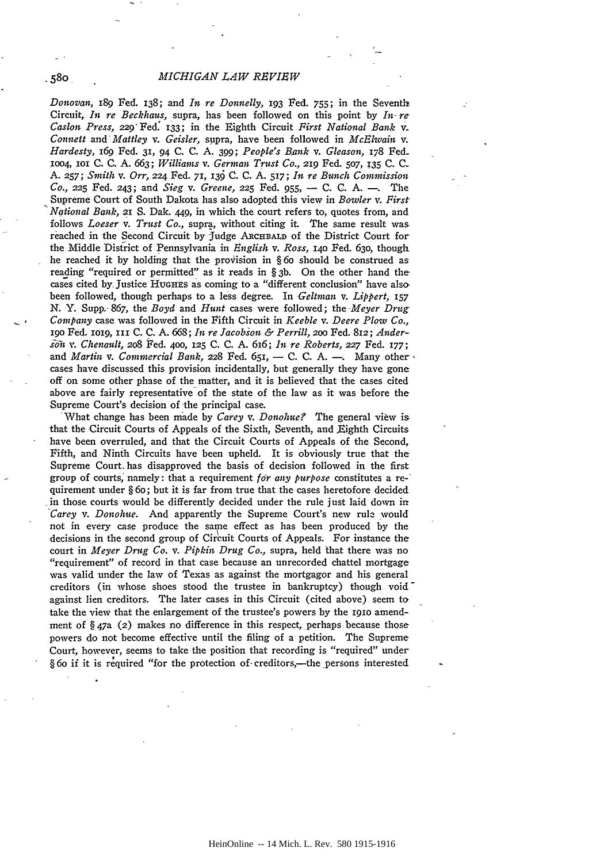#### *MICHIGAN LAW REVIEW*

*Donovan, 189* Fed. 138; and *In re Donnelly,* **193** Fed. 755; in the Seventh Circuit, *It re Beckhaus,* supra, has been followed on this point by *In-re* Caslon Press, 229 Fed. 133; in the Eighth Circuit First National Bank v. *Connett* and *Mattley v. Geisler,* supra, have been followed in *McElwain v. Hardesty,* 169 Fed. 31, 94 C. C. A. 399; *People's Bank v. Gleason,* 178 Fedioo4, ioi C. **C.** A. *663; Williams v. German Trust Co.,* 219 Fed. **507, 135** C. **C. A. 257;** *Smith v. Orr,* 224 Fed. **71,** *139* C. C. A. **517;** *In re Bunch Commission Co.,* **225** Fed. 243; and *Sieg v. Greene,* **225** Fed. 955, - C. C. A. **-** The Supreme Court of South Dakota has also adopted this view in *Bowler v. First National Bank, 21* **S.** Dak. 449, in which the court refers to, quotes from, and follows *Loeser v. Trust Co.,* supra, without citing it. The same result was reached in the Second Circuit by Judge ARCHBALD of the District Court for the Middle District of Pennsylvania in *English v. Ross,* 14o Fed. 63o, though he reached it by holding that the provision in **§** 6o should be construed as reading "required or permitted" as it reads in § 3b. On the other hand the cases cited by Justice Hughes as coming to a "different conclusion" have also been followed, though perhaps to a less degree. In *Geltman v. Lippert, 157 N.* Y. Supp.- 867, the *Boyd* and *Hunt* cases were followed; the *Meyer Drug Company* case was followed in the Fifth Circuit in *Keeble v. Deere Plow Co., 190* Fed. **1O19,** iii C. C. **A.** 668; *In re Jacobson & Perrill, 200* Fed. **812;** *Andersoi v. Chenault,* 208 Fed. **400,** 125 **C. C. A.** 616; *in re Roberts,* **227** Fed. 177; and *Martin v. Commercial Bank, 228* Fed. 651, - C. C. A. -. Many other cases have discussed this provision incidentally, but generally they have gone off on some other phase of the matter, and it is believed that the cases cited above are fairly representative of the state of the law as it was before the Supreme Court's decision of the principal case.

What change has been made by *Carey v. Donohue?* The general view is that the Circuit Courts of Appeals of the Sixth, Seventh, and Eighth Circuits have been overruled, and that the Circuit Courts of Appeals of the Second, Fifth, and Ninth Circuits have been upheld. It is obviously true that the Supreme Court. has disapproved the basis of decision followed in the first group of courts, namely: that a requirement *for any purpose* constitutes a requirement under § 6o; but it is far from true that the cases heretofore decided in those courts would be differently decided under the rule just laid down in *-Carey v. Donohue.* And apparently the Supreme Court's new rule would not in every case produce the same effect as has been produced by the decisions in the second group of Circuit Courts of Appeals. For instance the court in *Meyer Drug Co. v. Pipkin. Drug Co.,* supra, held that there was no "requirement" of record in that case because an unrecorded chattel mortgage was valid under the law of Texas as against the mortgagor and his general creditors (in whose shoes stood the trustee in bankruptcy) though voidagainst lien creditors. The later cases in this Circuit (cited above) seem *to* take the view that the enlargement of the trustee's powers by the **19io** amendment of  $\S$  47a (2) makes no difference in this respect, perhaps because those powers do not become effective until the filing of a petition. The Supreme Court, however, seems to take the position that recording is "required" under §60 if it is required "for the protection of creditors,—the persons interested

**-580**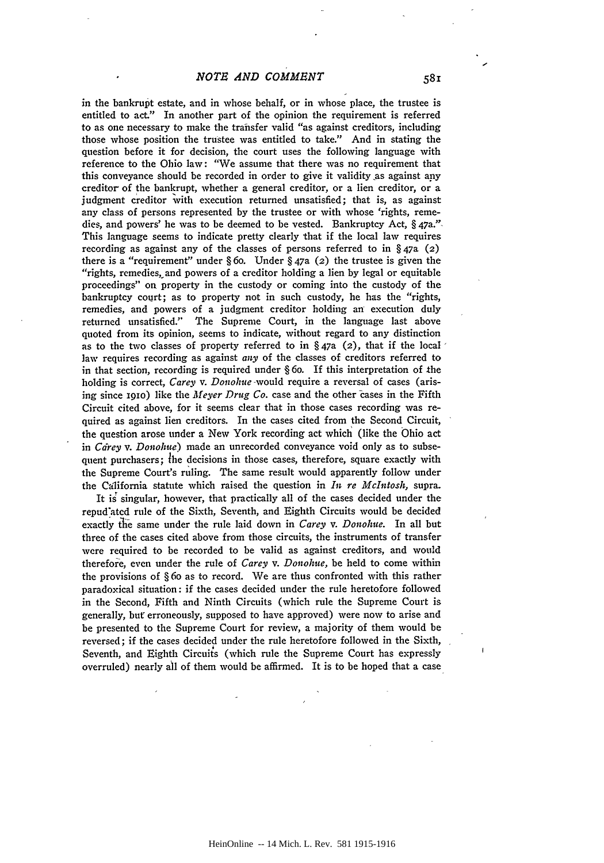### *NOTE AND COMMENT*

in the bankrupt estate, and in whose behalf, or in whose place, the trustee is entitled to act." In another part of the opinion the requirement is referred to as one necessary to make the transfer valid "as against creditors, including those whose position the trustee was entitled to take." And in stating the question before it for decision, the court uses the following language with reference to the Ohio law: "We assume that there was no requirement that this conveyance should be recorded in order to give it validity as against any creditor of the bankrupt, whether a general creditor, or a lien creditor, or a judgment creditor with execution returned unsatisfied; that is, as against any class of persons represented by the trustee or with whose 'rights, remedies, and powers' he was to be deemed to be vested. Bankruptcy Act, § 47a." This language seems to indicate pretty clearly that if the local law requires recording as against any of the classes of persons referred to in §47a (2) there is a "requirement" under  $\S$  60. Under  $\S$  47a (2) the trustee is given the "rights, remedies, and powers of a creditor holding a lien by legal or equitable proceedings" on property in the custody or coming into the custody of the bankruptcy court; as to property not in such custody, he has the "rights, remedies, and powers of a judgment creditor holding an execution duly returned unsatisfied." The Supreme Court, in the language last above quoted from its opinion, seems to indicate, without regard to any distinction as to the two classes of property referred to in  $\S$ 47a (2), that if the local law requires recording as against *any* of the classes of creditors referred to in that section, recording is required under § 6o. If this interpretation of the holding is correct, *Carey v. Donohue -would* require a reversal of cases (arising since 1910) like the *Meyer Drug Co.* case and the other cases in the Fifth Circuit cited above, for it seems clear that in those cases recording was required as against lien creditors. In the cases cited from the Second Circuit, the question arose under a New York recording act which (like the Ohio act in *Carey v. Donohue*) made an unrecorded conveyance void only as to subsequent purchasers; lhe decisions in those cases, therefore, square exactly with the Supreme Court's ruling. The same result would apparently follow under the California statute which raised the question in *It re McIntosh,* supra.

It is singular, however, that practically all of the cases decided under the repud'ated rule of the Sixth, Seventh, and Eighth Circuits would be decided exactly tie same under the rule laid down in *Carey v. Donohue.* In all but three of the cases cited above from those circuits, the instruments of transfer were required to be recorded to be valid as against creditors, and would therefore, even under the rule of *Carey v. Donohue,* be held to come within the provisions of § 6o as to record. We are thus confronted with this rather paradoxical situation: if the cases decided under the rule heretofore followed in the Second, Fifth and Ninth Circuits (which rule the Supreme Court is generally, but erroneously, supposed to have approved) were now to arise and be presented to the Supreme Court for review, a majority of them would be reversed; if the cases decided under the rule heretofore followed in the Sixth, Seventh, and Eighth Circuits (which rule the Supreme Court has expressly overruled) nearly all of them would be affirmed. It is to be hoped that a case